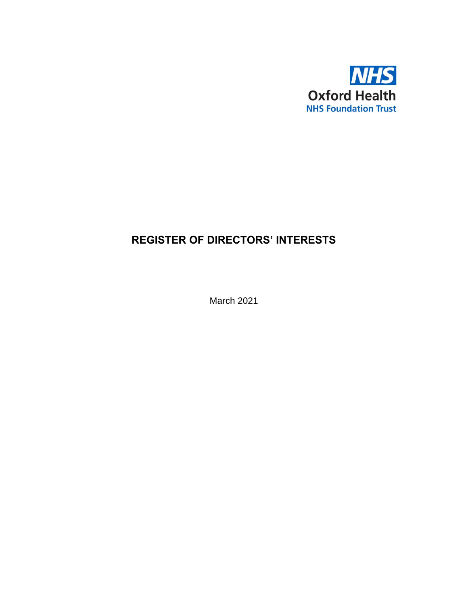

## **REGISTER OF DIRECTORS' INTERESTS**

March 2021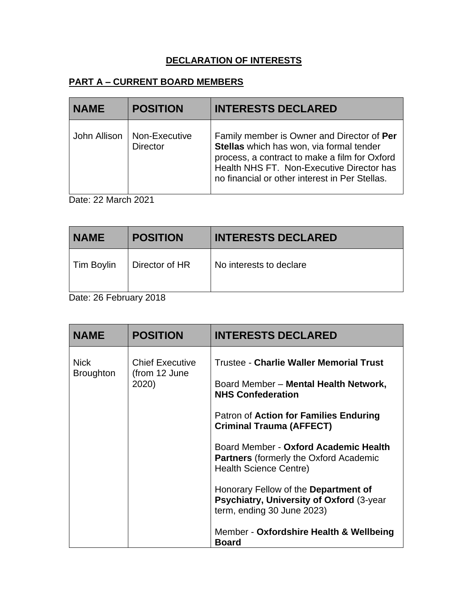## **DECLARATION OF INTERESTS**

## **PART A – CURRENT BOARD MEMBERS**

| <b>NAME</b> | <b>POSITION</b>                                 | <b>INTERESTS DECLARED</b>                                                                                                                                                                                                              |
|-------------|-------------------------------------------------|----------------------------------------------------------------------------------------------------------------------------------------------------------------------------------------------------------------------------------------|
|             | John Allison   Non-Executive<br><b>Director</b> | Family member is Owner and Director of Per<br>Stellas which has won, via formal tender<br>process, a contract to make a film for Oxford<br>Health NHS FT. Non-Executive Director has<br>no financial or other interest in Per Stellas. |

Date: 22 March 2021

| <b>NAME</b> | <b>POSITION</b> | <b>INTERESTS DECLARED</b> |
|-------------|-----------------|---------------------------|
| Tim Boylin  | Director of HR  | No interests to declare   |
|             |                 |                           |

Date: 26 February 2018

| <b>NAME</b>                     | <b>POSITION</b>                                  | <b>INTERESTS DECLARED</b>                                                                                                                                                                                                                                                                                                                                                                                                                                                                         |
|---------------------------------|--------------------------------------------------|---------------------------------------------------------------------------------------------------------------------------------------------------------------------------------------------------------------------------------------------------------------------------------------------------------------------------------------------------------------------------------------------------------------------------------------------------------------------------------------------------|
| <b>Nick</b><br><b>Broughton</b> | <b>Chief Executive</b><br>(from 12 June<br>2020) | <b>Trustee - Charlie Waller Memorial Trust</b><br>Board Member - Mental Health Network,<br><b>NHS Confederation</b><br>Patron of Action for Families Enduring<br><b>Criminal Trauma (AFFECT)</b><br>Board Member - Oxford Academic Health<br><b>Partners</b> (formerly the Oxford Academic<br>Health Science Centre)<br>Honorary Fellow of the Department of<br>Psychiatry, University of Oxford (3-year<br>term, ending 30 June 2023)<br>Member - Oxfordshire Health & Wellbeing<br><b>Board</b> |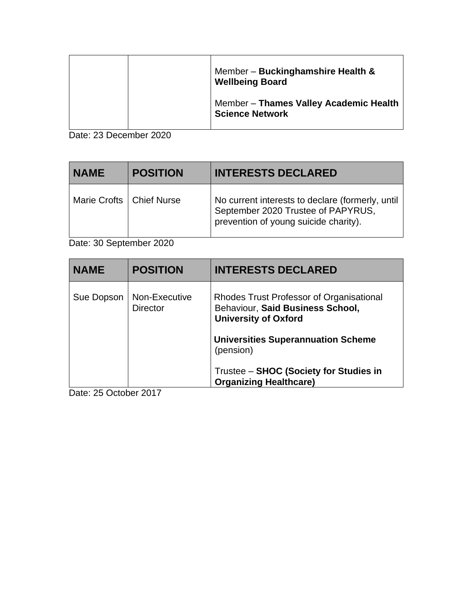|  | Member - Buckinghamshire Health &<br><b>Wellbeing Board</b>      |
|--|------------------------------------------------------------------|
|  | Member - Thames Valley Academic Health<br><b>Science Network</b> |

Date: 23 December 2020

| <b>NAME</b>                | <b>POSITION</b> | <b>INTERESTS DECLARED</b>                                                                                                       |
|----------------------------|-----------------|---------------------------------------------------------------------------------------------------------------------------------|
| Marie Crofts   Chief Nurse |                 | No current interests to declare (formerly, until<br>September 2020 Trustee of PAPYRUS,<br>prevention of young suicide charity). |

Date: 30 September 2020

| <b>NAME</b> | <b>POSITION</b>                  | <b>INTERESTS DECLARED</b>                                                                                   |
|-------------|----------------------------------|-------------------------------------------------------------------------------------------------------------|
| Sue Dopson  | Non-Executive<br><b>Director</b> | Rhodes Trust Professor of Organisational<br>Behaviour, Said Business School,<br><b>University of Oxford</b> |
|             |                                  | <b>Universities Superannuation Scheme</b><br>(pension)                                                      |
|             |                                  | Trustee - SHOC (Society for Studies in<br><b>Organizing Healthcare)</b>                                     |

Date: 25 October 2017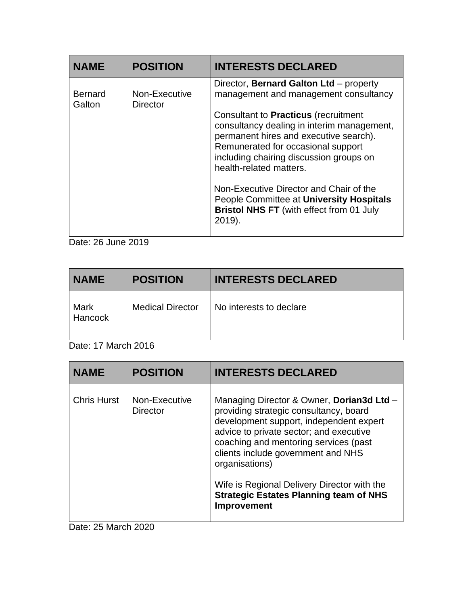| <b>NAME</b>              | <b>POSITION</b>                  | <b>INTERESTS DECLARED</b>                                                                                                                                                                                                                       |
|--------------------------|----------------------------------|-------------------------------------------------------------------------------------------------------------------------------------------------------------------------------------------------------------------------------------------------|
| <b>Bernard</b><br>Galton | Non-Executive<br><b>Director</b> | Director, Bernard Galton Ltd - property<br>management and management consultancy                                                                                                                                                                |
|                          |                                  | Consultant to <b>Practicus</b> (recruitment<br>consultancy dealing in interim management,<br>permanent hires and executive search).<br>Remunerated for occasional support<br>including chairing discussion groups on<br>health-related matters. |
|                          |                                  | Non-Executive Director and Chair of the<br>People Committee at University Hospitals<br><b>Bristol NHS FT</b> (with effect from 01 July<br>2019).                                                                                                |

Date: 26 June 2019

| <b>NAME</b>     | <b>POSITION</b>         | <b>INTERESTS DECLARED</b> |
|-----------------|-------------------------|---------------------------|
| Mark<br>Hancock | <b>Medical Director</b> | No interests to declare   |

Date: 17 March 2016

| <b>NAME</b>        | <b>POSITION</b>                  | <b>INTERESTS DECLARED</b>                                                                                                                                                                                                                                                                                                 |
|--------------------|----------------------------------|---------------------------------------------------------------------------------------------------------------------------------------------------------------------------------------------------------------------------------------------------------------------------------------------------------------------------|
| <b>Chris Hurst</b> | Non-Executive<br><b>Director</b> | Managing Director & Owner, Dorian3d Ltd -<br>providing strategic consultancy, board<br>development support, independent expert<br>advice to private sector; and executive<br>coaching and mentoring services (past<br>clients include government and NHS<br>organisations)<br>Wife is Regional Delivery Director with the |
|                    |                                  | <b>Strategic Estates Planning team of NHS</b><br>Improvement                                                                                                                                                                                                                                                              |

Date: 25 March 2020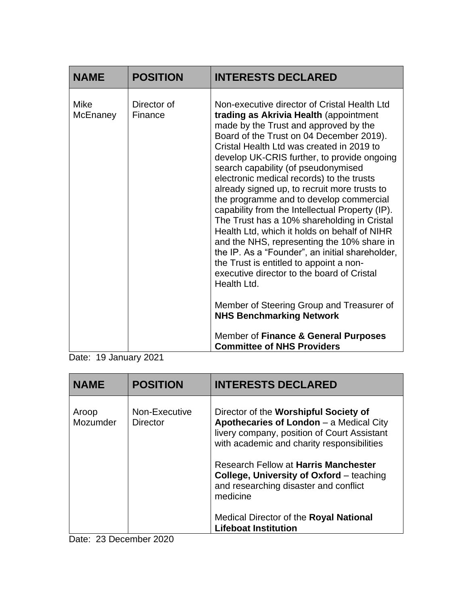| <b>NAME</b>      | <b>POSITION</b>        | <b>INTERESTS DECLARED</b>                                                                                                                                                                                                                                                                                                                                                                                                                                                                                                                                                                                                                                                                                                                                                                                                                                                                                                                 |
|------------------|------------------------|-------------------------------------------------------------------------------------------------------------------------------------------------------------------------------------------------------------------------------------------------------------------------------------------------------------------------------------------------------------------------------------------------------------------------------------------------------------------------------------------------------------------------------------------------------------------------------------------------------------------------------------------------------------------------------------------------------------------------------------------------------------------------------------------------------------------------------------------------------------------------------------------------------------------------------------------|
| Mike<br>McEnaney | Director of<br>Finance | Non-executive director of Cristal Health Ltd<br>trading as Akrivia Health (appointment<br>made by the Trust and approved by the<br>Board of the Trust on 04 December 2019).<br>Cristal Health Ltd was created in 2019 to<br>develop UK-CRIS further, to provide ongoing<br>search capability (of pseudonymised<br>electronic medical records) to the trusts<br>already signed up, to recruit more trusts to<br>the programme and to develop commercial<br>capability from the Intellectual Property (IP).<br>The Trust has a 10% shareholding in Cristal<br>Health Ltd, which it holds on behalf of NIHR<br>and the NHS, representing the 10% share in<br>the IP. As a "Founder", an initial shareholder,<br>the Trust is entitled to appoint a non-<br>executive director to the board of Cristal<br>Health Ltd.<br>Member of Steering Group and Treasurer of<br><b>NHS Benchmarking Network</b><br>Member of Finance & General Purposes |
|                  |                        | <b>Committee of NHS Providers</b>                                                                                                                                                                                                                                                                                                                                                                                                                                                                                                                                                                                                                                                                                                                                                                                                                                                                                                         |

Date: 19 January 2021

| <b>NAME</b>       | <b>POSITION</b>                  | <b>INTERESTS DECLARED</b>                                                                                                                                                     |
|-------------------|----------------------------------|-------------------------------------------------------------------------------------------------------------------------------------------------------------------------------|
| Aroop<br>Mozumder | Non-Executive<br><b>Director</b> | Director of the Worshipful Society of<br>Apothecaries of London - a Medical City<br>livery company, position of Court Assistant<br>with academic and charity responsibilities |
|                   |                                  | <b>Research Fellow at Harris Manchester</b><br><b>College, University of Oxford</b> – teaching<br>and researching disaster and conflict<br>medicine                           |
|                   |                                  | Medical Director of the Royal National<br><b>Lifeboat Institution</b>                                                                                                         |

Date: 23 December 2020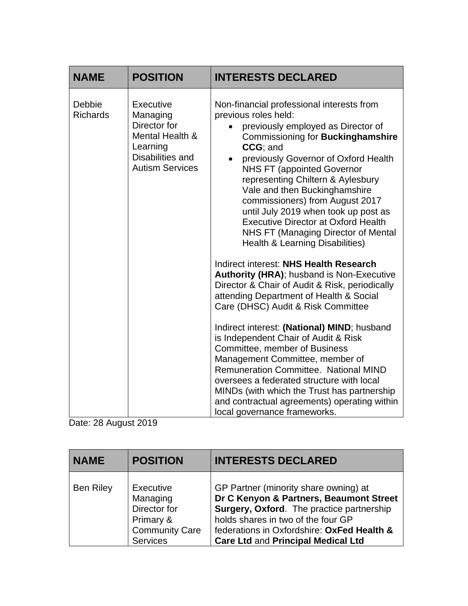| <b>NAME</b>               | <b>POSITION</b>                                                                                                    | <b>INTERESTS DECLARED</b>                                                                                                                                                                                                                                                                                                                                                                                                                                                                                                                                                                                                                                                                                                                                                                                                                                                                                                                                                                                                                                                                                                |
|---------------------------|--------------------------------------------------------------------------------------------------------------------|--------------------------------------------------------------------------------------------------------------------------------------------------------------------------------------------------------------------------------------------------------------------------------------------------------------------------------------------------------------------------------------------------------------------------------------------------------------------------------------------------------------------------------------------------------------------------------------------------------------------------------------------------------------------------------------------------------------------------------------------------------------------------------------------------------------------------------------------------------------------------------------------------------------------------------------------------------------------------------------------------------------------------------------------------------------------------------------------------------------------------|
| Debbie<br><b>Richards</b> | Executive<br>Managing<br>Director for<br>Mental Health &<br>Learning<br>Disabilities and<br><b>Autism Services</b> | Non-financial professional interests from<br>previous roles held:<br>previously employed as Director of<br>Commissioning for Buckinghamshire<br>CCG; and<br>previously Governor of Oxford Health<br><b>NHS FT (appointed Governor</b><br>representing Chiltern & Aylesbury<br>Vale and then Buckinghamshire<br>commissioners) from August 2017<br>until July 2019 when took up post as<br><b>Executive Director at Oxford Health</b><br><b>NHS FT (Managing Director of Mental</b><br><b>Health &amp; Learning Disabilities)</b><br>Indirect interest: NHS Health Research<br><b>Authority (HRA); husband is Non-Executive</b><br>Director & Chair of Audit & Risk, periodically<br>attending Department of Health & Social<br>Care (DHSC) Audit & Risk Committee<br>Indirect interest: (National) MIND; husband<br>is Independent Chair of Audit & Risk<br>Committee, member of Business<br>Management Committee, member of<br><b>Remuneration Committee. National MIND</b><br>oversees a federated structure with local<br>MINDs (with which the Trust has partnership<br>and contractual agreements) operating within |
|                           |                                                                                                                    | local governance frameworks.                                                                                                                                                                                                                                                                                                                                                                                                                                                                                                                                                                                                                                                                                                                                                                                                                                                                                                                                                                                                                                                                                             |

Date: 28 August 2019

| <b>NAME</b>      | <b>POSITION</b>                                                                         | <b>INTERESTS DECLARED</b>                                                                                                                                                                                                                                      |
|------------------|-----------------------------------------------------------------------------------------|----------------------------------------------------------------------------------------------------------------------------------------------------------------------------------------------------------------------------------------------------------------|
| <b>Ben Riley</b> | Executive<br>Managing<br>Director for<br>Primary &<br><b>Community Care</b><br>Services | GP Partner (minority share owning) at<br>Dr C Kenyon & Partners, Beaumont Street<br>Surgery, Oxford. The practice partnership<br>holds shares in two of the four GP<br>federations in Oxfordshire: OxFed Health &<br><b>Care Ltd and Principal Medical Ltd</b> |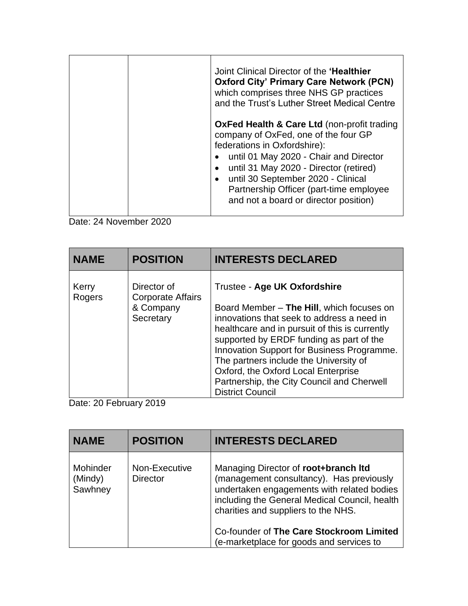|  | Joint Clinical Director of the 'Healthier<br><b>Oxford City' Primary Care Network (PCN)</b><br>which comprises three NHS GP practices<br>and the Trust's Luther Street Medical Centre                                                                                                                                                          |
|--|------------------------------------------------------------------------------------------------------------------------------------------------------------------------------------------------------------------------------------------------------------------------------------------------------------------------------------------------|
|  | <b>OxFed Health &amp; Care Ltd (non-profit trading</b><br>company of OxFed, one of the four GP<br>federations in Oxfordshire):<br>• until 01 May 2020 - Chair and Director<br>until 31 May 2020 - Director (retired)<br>until 30 September 2020 - Clinical<br>Partnership Officer (part-time employee<br>and not a board or director position) |

Date: 24 November 2020

| <b>NAME</b>     | <b>POSITION</b>                                                   | <b>INTERESTS DECLARED</b>                                                                                                                                                                                                                                                                                                                                                                                                     |
|-----------------|-------------------------------------------------------------------|-------------------------------------------------------------------------------------------------------------------------------------------------------------------------------------------------------------------------------------------------------------------------------------------------------------------------------------------------------------------------------------------------------------------------------|
| Kerry<br>Rogers | Director of<br><b>Corporate Affairs</b><br>& Company<br>Secretary | Trustee - Age UK Oxfordshire<br>Board Member - The Hill, which focuses on<br>innovations that seek to address a need in<br>healthcare and in pursuit of this is currently<br>supported by ERDF funding as part of the<br>Innovation Support for Business Programme.<br>The partners include the University of<br>Oxford, the Oxford Local Enterprise<br>Partnership, the City Council and Cherwell<br><b>District Council</b> |

Date: 20 February 2019

| <b>NAME</b>                    | <b>POSITION</b>                  | <b>INTERESTS DECLARED</b>                                                                                                                                                                                              |
|--------------------------------|----------------------------------|------------------------------------------------------------------------------------------------------------------------------------------------------------------------------------------------------------------------|
| Mohinder<br>(Mindy)<br>Sawhney | Non-Executive<br><b>Director</b> | Managing Director of root+branch Itd<br>(management consultancy). Has previously<br>undertaken engagements with related bodies<br>including the General Medical Council, health<br>charities and suppliers to the NHS. |
|                                |                                  | Co-founder of The Care Stockroom Limited<br>(e-marketplace for goods and services to                                                                                                                                   |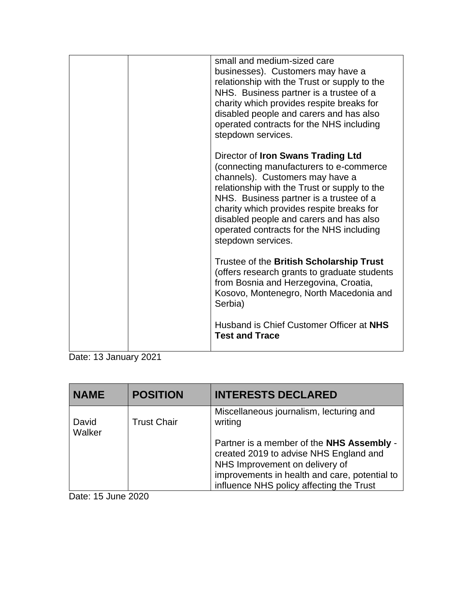| small and medium-sized care<br>businesses). Customers may have a<br>relationship with the Trust or supply to the<br>NHS. Business partner is a trustee of a<br>charity which provides respite breaks for<br>disabled people and carers and has also<br>operated contracts for the NHS including<br>stepdown services.                                                  |
|------------------------------------------------------------------------------------------------------------------------------------------------------------------------------------------------------------------------------------------------------------------------------------------------------------------------------------------------------------------------|
| Director of Iron Swans Trading Ltd<br>(connecting manufacturers to e-commerce)<br>channels). Customers may have a<br>relationship with the Trust or supply to the<br>NHS. Business partner is a trustee of a<br>charity which provides respite breaks for<br>disabled people and carers and has also<br>operated contracts for the NHS including<br>stepdown services. |
| Trustee of the British Scholarship Trust<br>(offers research grants to graduate students<br>from Bosnia and Herzegovina, Croatia,<br>Kosovo, Montenegro, North Macedonia and<br>Serbia)<br>Husband is Chief Customer Officer at NHS                                                                                                                                    |
| <b>Test and Trace</b>                                                                                                                                                                                                                                                                                                                                                  |

Date: 13 January 2021

| <b>NAME</b>     | <b>POSITION</b>    | <b>INTERESTS DECLARED</b>                                                                                                                                                                                          |
|-----------------|--------------------|--------------------------------------------------------------------------------------------------------------------------------------------------------------------------------------------------------------------|
| David<br>Walker | <b>Trust Chair</b> | Miscellaneous journalism, lecturing and<br>writing                                                                                                                                                                 |
|                 |                    | Partner is a member of the NHS Assembly -<br>created 2019 to advise NHS England and<br>NHS Improvement on delivery of<br>improvements in health and care, potential to<br>influence NHS policy affecting the Trust |

Date: 15 June 2020